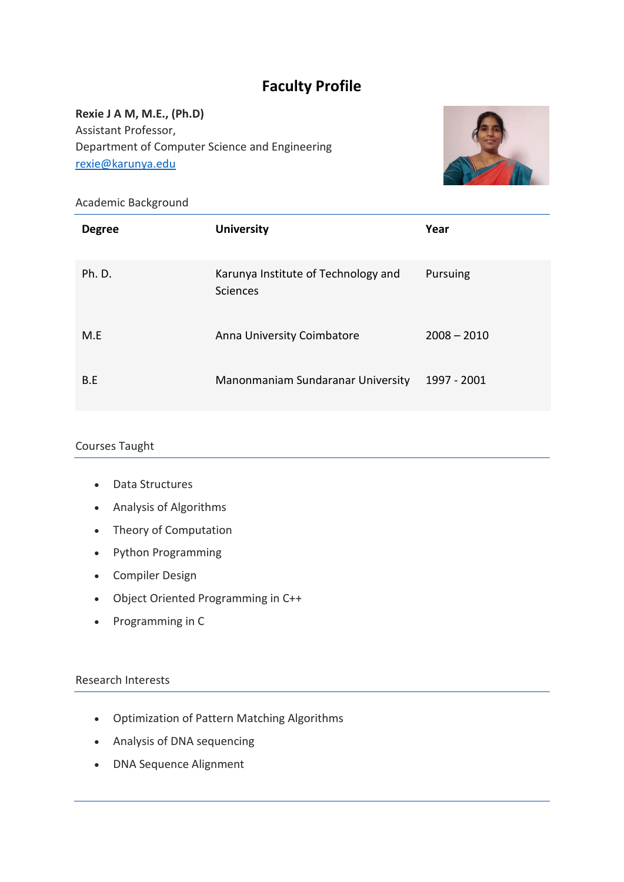# **Faculty Profile**

**Rexie J A M, M.E., (Ph.D)** Assistant Professor, Department of Computer Science and Engineering [rexie@karunya.edu](mailto:rexie@karunya.edu)



## Academic Background

| <b>Degree</b> | <b>University</b>                               | Year          |
|---------------|-------------------------------------------------|---------------|
| Ph. D.        | Karunya Institute of Technology and<br>Sciences | Pursuing      |
| M.E           | Anna University Coimbatore                      | $2008 - 2010$ |
| B.E           | Manonmaniam Sundaranar University               | 1997 - 2001   |

#### Courses Taught

- Data Structures
- Analysis of Algorithms
- Theory of Computation
- Python Programming
- Compiler Design
- Object Oriented Programming in C++
- Programming in C

#### Research Interests

- Optimization of Pattern Matching Algorithms
- Analysis of DNA sequencing
- DNA Sequence Alignment